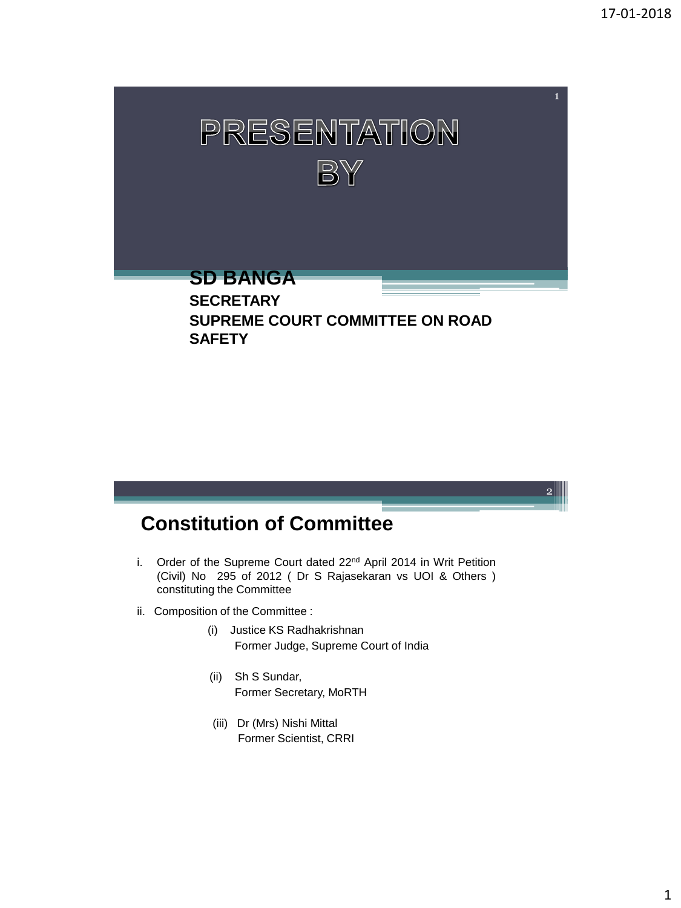$\mathbf{2}^{\parallel}$ 



# **Constitution of Committee**

- i. Order of the Supreme Court dated 22<sup>nd</sup> April 2014 in Writ Petition (Civil) No 295 of 2012 ( Dr S Rajasekaran vs UOI & Others ) constituting the Committee
- ii. Composition of the Committee :
	- (i) Justice KS Radhakrishnan Former Judge, Supreme Court of India
	- (ii) Sh S Sundar, Former Secretary, MoRTH
	- (iii) Dr (Mrs) Nishi Mittal Former Scientist, CRRI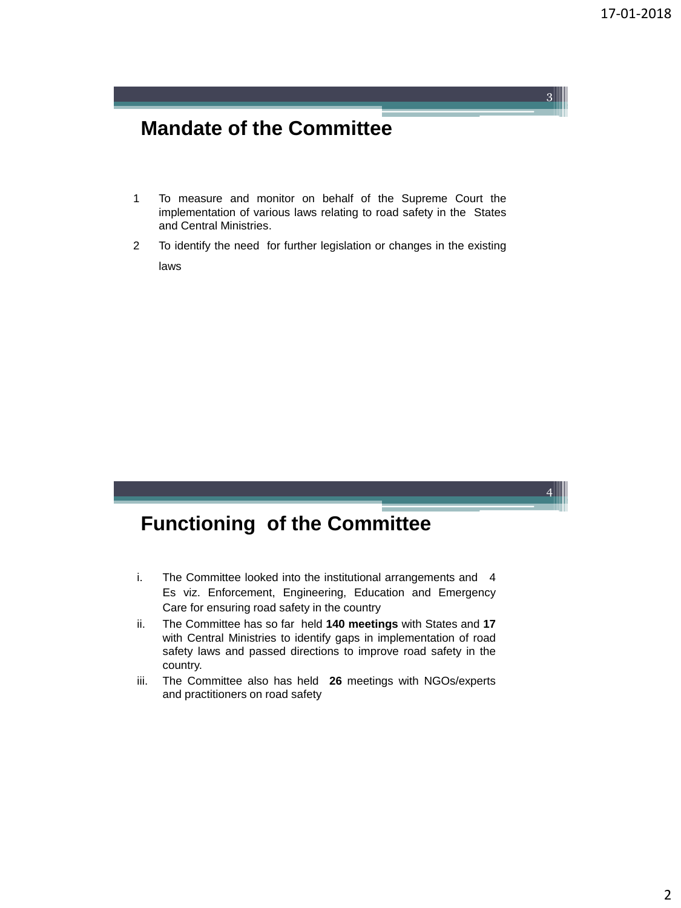4

# **Mandate of the Committee**

- 1 To measure and monitor on behalf of the Supreme Court the implementation of various laws relating to road safety in the States and Central Ministries.
- 2 To identify the need for further legislation or changes in the existing laws

# **Functioning of the Committee**

- i. The Committee looked into the institutional arrangements and 4 Es viz. Enforcement, Engineering, Education and Emergency Care for ensuring road safety in the country
- ii. The Committee has so far held **140 meetings** with States and **17** with Central Ministries to identify gaps in implementation of road safety laws and passed directions to improve road safety in the country.
- iii. The Committee also has held **26** meetings with NGOs/experts and practitioners on road safety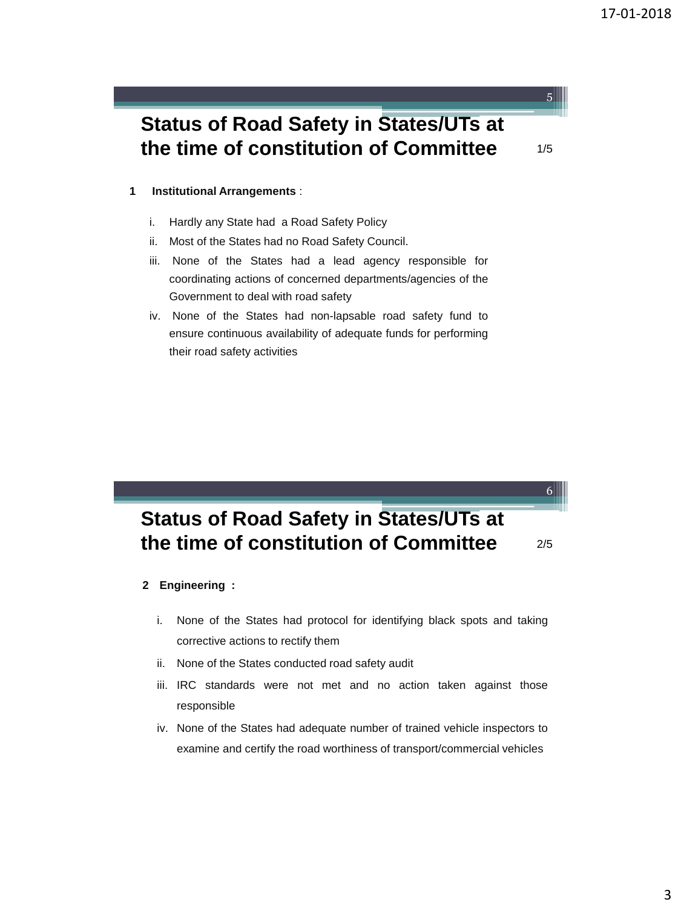# **Status of Road Safety in States/UTs at the time of constitution of Committee**

1/5

5

#### **1 Institutional Arrangements** :

- i. Hardly any State had a Road Safety Policy
- ii. Most of the States had no Road Safety Council.
- iii. None of the States had a lead agency responsible for coordinating actions of concerned departments/agencies of the Government to deal with road safety
- iv. None of the States had non-lapsable road safety fund to ensure continuous availability of adequate funds for performing their road safety activities

# **Status of Road Safety in States/UTs at the time of constitution of Committee** 2/5

2/5

6

- **2 Engineering :**
	- i. None of the States had protocol for identifying black spots and taking corrective actions to rectify them
	- ii. None of the States conducted road safety audit
	- iii. IRC standards were not met and no action taken against those responsible
	- iv. None of the States had adequate number of trained vehicle inspectors to examine and certify the road worthiness of transport/commercial vehicles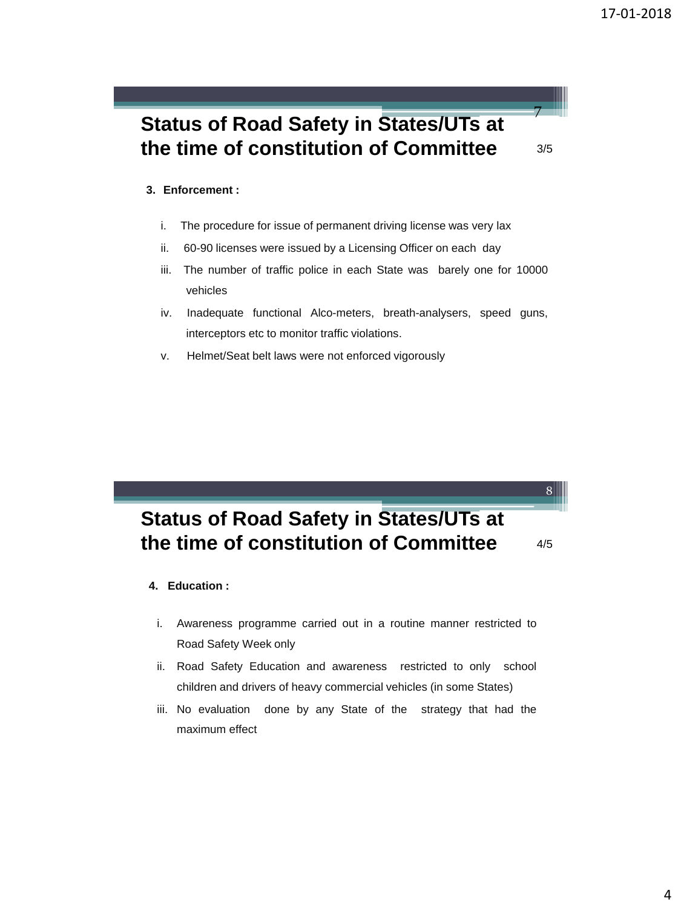

### **4. Education :**

- i. Awareness programme carried out in a routine manner restricted to Road Safety Week only
- ii. Road Safety Education and awareness restricted to only school children and drivers of heavy commercial vehicles (in some States)
- iii. No evaluation done by any State of the strategy that had the maximum effect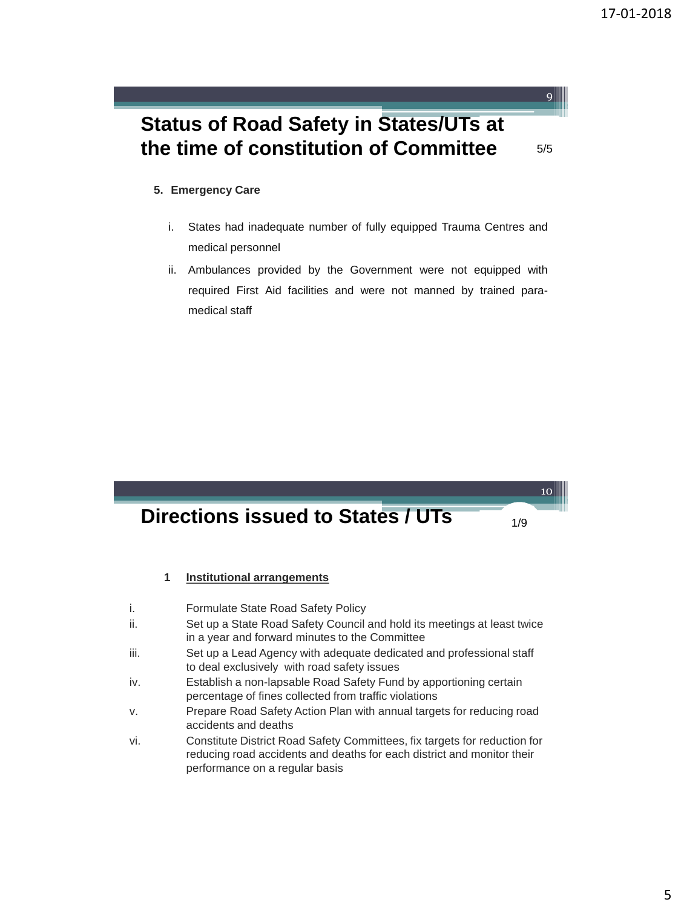# **Status of Road Safety in States/UTs at the time of constitution of Committee**  $\frac{5}{5}$

### **5. Emergency Care**

- i. States had inadequate number of fully equipped Trauma Centres and medical personnel
- ii. Ambulances provided by the Government were not equipped with required First Aid facilities and were not manned by trained paramedical staff

# **Directions issued to States / UTs**

10

 $|9|$ 

### **1 Institutional arrangements**

- i. Formulate State Road Safety Policy
- ii. Set up a State Road Safety Council and hold its meetings at least twice in a year and forward minutes to the Committee
- iii. Set up a Lead Agency with adequate dedicated and professional staff to deal exclusively with road safety issues
- iv. Establish a non-lapsable Road Safety Fund by apportioning certain percentage of fines collected from traffic violations
- v. Prepare Road Safety Action Plan with annual targets for reducing road accidents and deaths
- vi. Constitute District Road Safety Committees, fix targets for reduction for reducing road accidents and deaths for each district and monitor their performance on a regular basis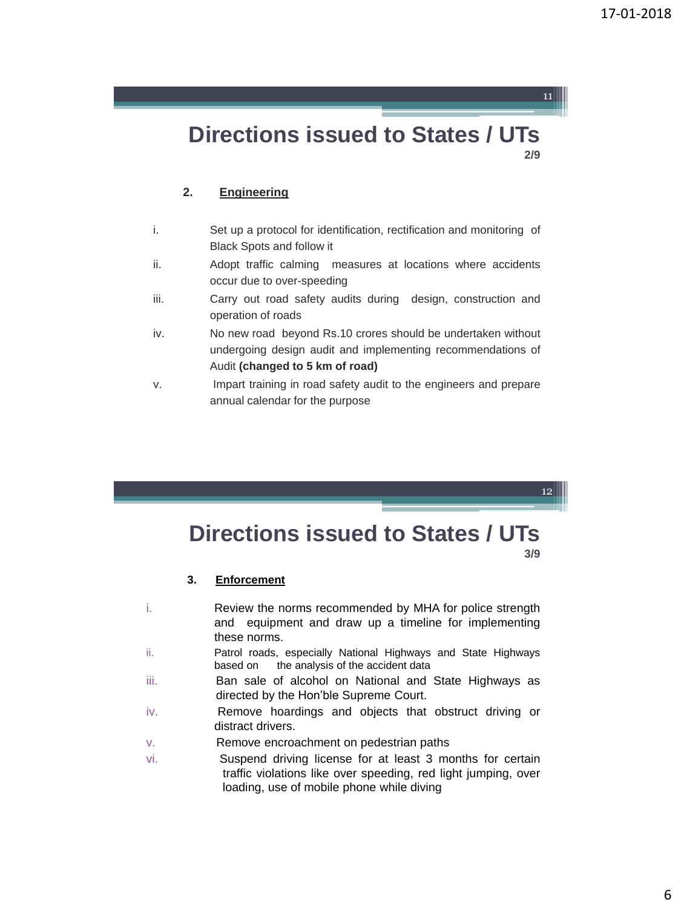### **Directions issued to States / UTs 2/9**

### **2. Engineering**

- i. Set up a protocol for identification, rectification and monitoring of Black Spots and follow it
- ii. Adopt traffic calming measures at locations where accidents occur due to over-speeding
- iii. Carry out road safety audits during design, construction and operation of roads
- iv. No new road beyond Rs.10 crores should be undertaken without undergoing design audit and implementing recommendations of Audit **(changed to 5 km of road)**
- v. Impart training in road safety audit to the engineers and prepare annual calendar for the purpose

12

# **Directions issued to States / UTs**

**3/9**

### **3. Enforcement**

- i. Review the norms recommended by MHA for police strength and equipment and draw up a timeline for implementing these norms.
- ii. Patrol roads, especially National Highways and State Highways based on the analysis of the accident data
- iii. Ban sale of alcohol on National and State Highways as directed by the Hon'ble Supreme Court.
- iv. Remove hoardings and objects that obstruct driving or distract drivers.
- v. Remove encroachment on pedestrian paths
- vi. Suspend driving license for at least 3 months for certain traffic violations like over speeding, red light jumping, over loading, use of mobile phone while diving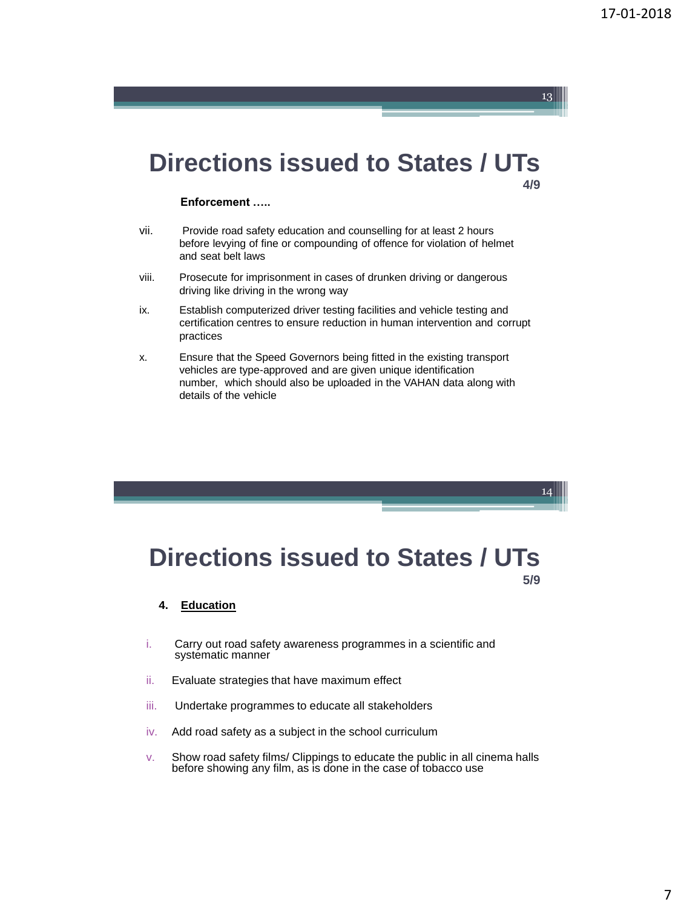

x. Ensure that the Speed Governors being fitted in the existing transport vehicles are type-approved and are given unique identification number, which should also be uploaded in the VAHAN data along with details of the vehicle

**Directions issued to States / UTs 5/9**

### **4. Education**

- i. Carry out road safety awareness programmes in a scientific and systematic manner
- ii. Evaluate strategies that have maximum effect
- iii. Undertake programmes to educate all stakeholders
- iv. Add road safety as a subject in the school curriculum
- v. Show road safety films/ Clippings to educate the public in all cinema halls before showing any film, as is done in the case of tobacco use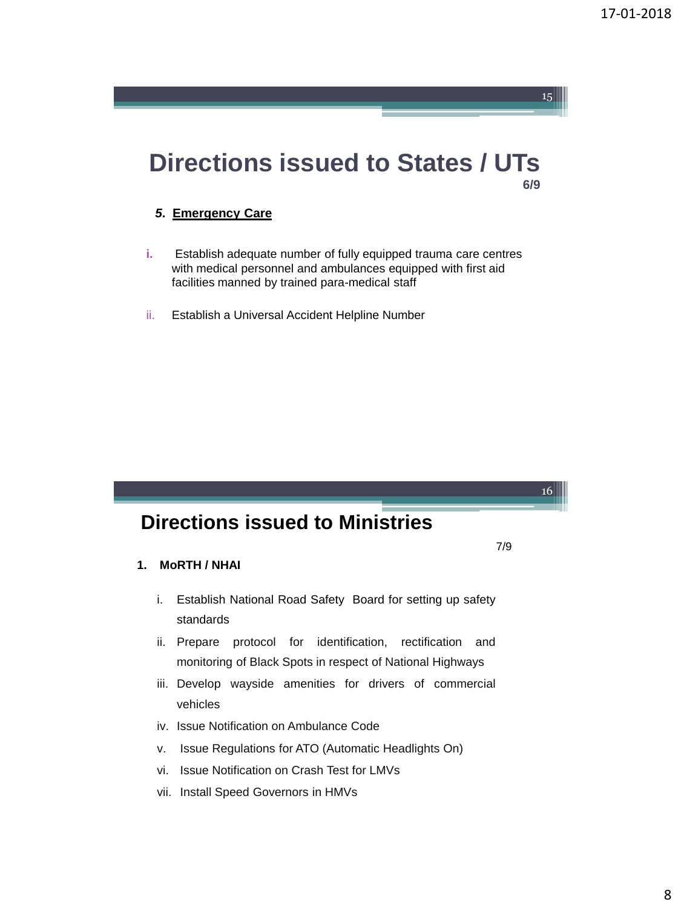16

7/9

### **Directions issued to States / UTs 6/9**

### *5***. Emergency Care**

- **i.** Establish adequate number of fully equipped trauma care centres with medical personnel and ambulances equipped with first aid facilities manned by trained para-medical staff
- ii. Establish a Universal Accident Helpline Number

# **Directions issued to Ministries**

### **1. MoRTH / NHAI**

- i. Establish National Road Safety Board for setting up safety standards
- ii. Prepare protocol for identification, rectification and monitoring of Black Spots in respect of National Highways
- iii. Develop wayside amenities for drivers of commercial vehicles
- iv. Issue Notification on Ambulance Code
- v. Issue Regulations for ATO (Automatic Headlights On)
- vi. Issue Notification on Crash Test for LMVs
- vii. Install Speed Governors in HMVs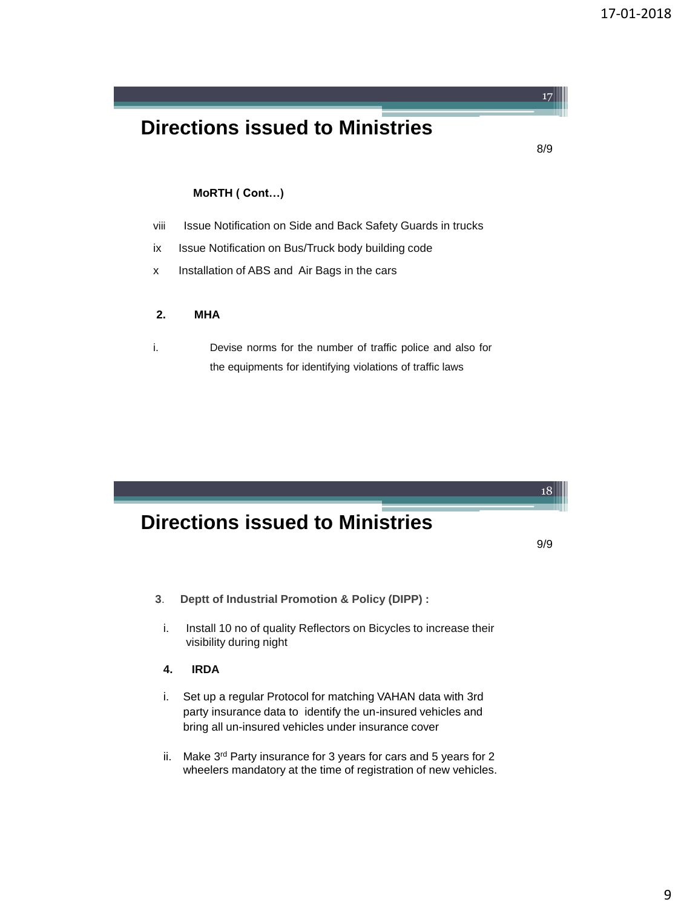# **Directions issued to Ministries**

### 8/9

17

### **MoRTH ( Cont…)**

- viii Issue Notification on Side and Back Safety Guards in trucks
- ix Issue Notification on Bus/Truck body building code
- x Installation of ABS and Air Bags in the cars

#### **2. MHA**

i. Devise norms for the number of traffic police and also for the equipments for identifying violations of traffic laws

# **Directions issued to Ministries**

9/9

18

- **3**. **Deptt of Industrial Promotion & Policy (DIPP) :**
	- i. Install 10 no of quality Reflectors on Bicycles to increase their visibility during night

#### **4. IRDA**

- i. Set up a regular Protocol for matching VAHAN data with 3rd party insurance data to identify the un-insured vehicles and bring all un-insured vehicles under insurance cover
- ii. Make  $3<sup>rd</sup>$  Party insurance for 3 years for cars and 5 years for 2 wheelers mandatory at the time of registration of new vehicles.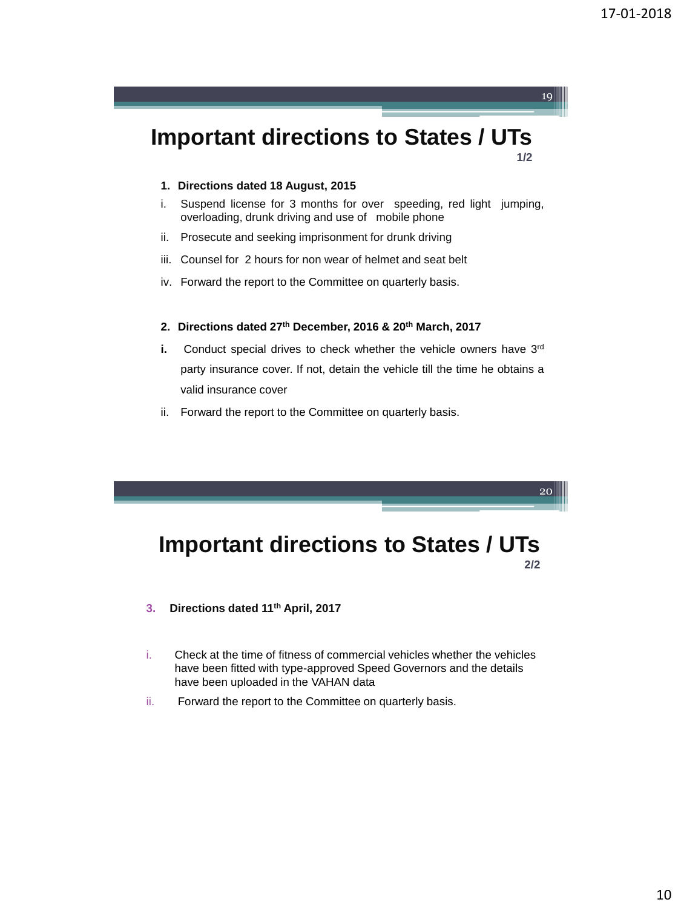20

### **Important directions to States / UTs 1/2**

#### **1. Directions dated 18 August, 2015**

- i. Suspend license for 3 months for over speeding, red light jumping, overloading, drunk driving and use of mobile phone
- ii. Prosecute and seeking imprisonment for drunk driving
- iii. Counsel for 2 hours for non wear of helmet and seat belt
- iv. Forward the report to the Committee on quarterly basis.

### **2. Directions dated 27th December, 2016 & 20th March, 2017**

- **i.** Conduct special drives to check whether the vehicle owners have 3<sup>rd</sup> party insurance cover. If not, detain the vehicle till the time he obtains a valid insurance cover
- ii. Forward the report to the Committee on quarterly basis.

### **Important directions to States / UTs 2/2**

- **3. Directions dated 11th April, 2017**
- i. Check at the time of fitness of commercial vehicles whether the vehicles have been fitted with type-approved Speed Governors and the details have been uploaded in the VAHAN data
- ii. Forward the report to the Committee on quarterly basis.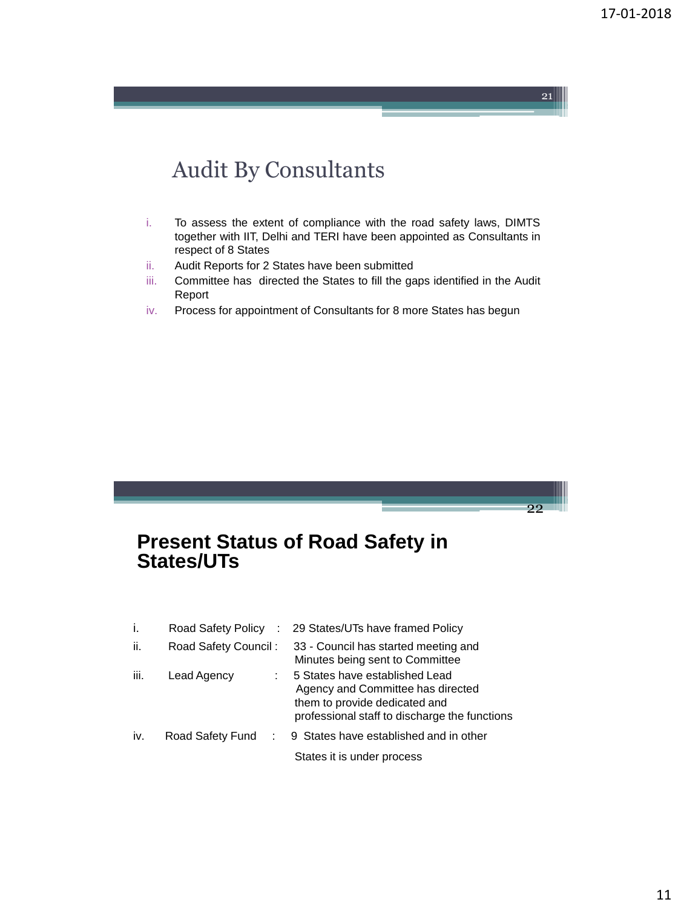22

# Audit By Consultants

- i. To assess the extent of compliance with the road safety laws, DIMTS together with IIT, Delhi and TERI have been appointed as Consultants in respect of 8 States
- ii. Audit Reports for 2 States have been submitted
- iii. Committee has directed the States to fill the gaps identified in the Audit Report
- iv. Process for appointment of Consultants for 8 more States has begun

### **Present Status of Road Safety in States/UTs**

| j.   | Road Safety Policy<br>$\mathcal{L}$ | 29 States/UTs have framed Policy                                                                                                                      |
|------|-------------------------------------|-------------------------------------------------------------------------------------------------------------------------------------------------------|
| ii.  | Road Safety Council:                | 33 - Council has started meeting and<br>Minutes being sent to Committee                                                                               |
| iii. | Lead Agency                         | 5 States have established Lead<br>Agency and Committee has directed<br>them to provide dedicated and<br>professional staff to discharge the functions |
| iv.  | Road Safety Fund                    | 9 States have established and in other                                                                                                                |
|      |                                     | States it is under process                                                                                                                            |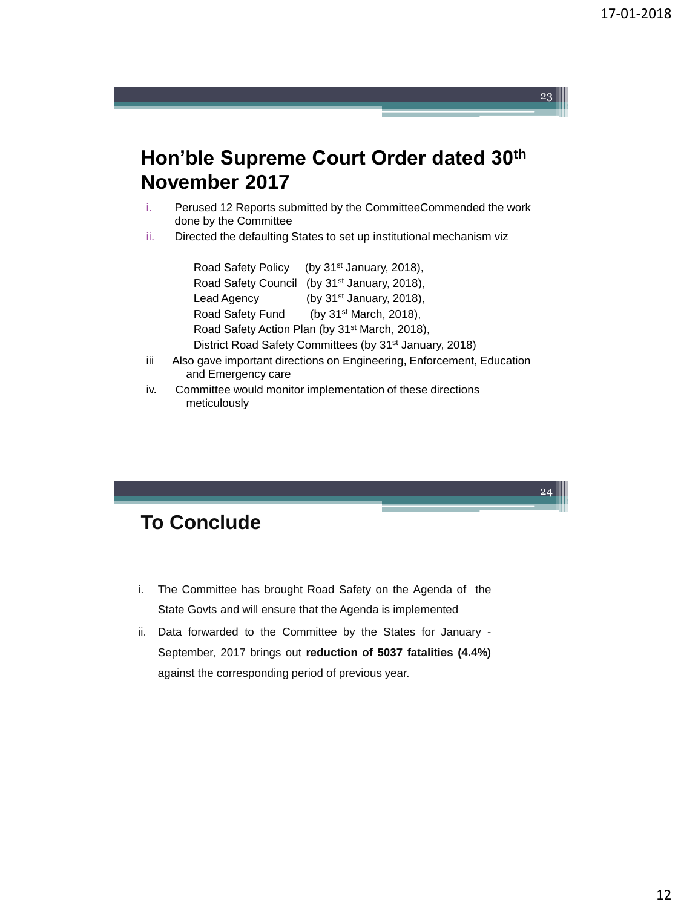24

# **Hon'ble Supreme Court Order dated 30th November 2017**

- i. Perused 12 Reports submitted by the CommitteeCommended the work done by the Committee
- ii. Directed the defaulting States to set up institutional mechanism viz

Road Safety Policy (by 31<sup>st</sup> January, 2018), Road Safety Council (by 31<sup>st</sup> January, 2018), Lead Agency (by 31<sup>st</sup> January, 2018), Road Safety Fund (by 31<sup>st</sup> March, 2018), Road Safety Action Plan (by 31st March, 2018), District Road Safety Committees (by 31<sup>st</sup> January, 2018)

- iii Also gave important directions on Engineering, Enforcement, Education and Emergency care
- iv. Committee would monitor implementation of these directions meticulously

### **To Conclude**

- i. The Committee has brought Road Safety on the Agenda of the State Govts and will ensure that the Agenda is implemented
- ii. Data forwarded to the Committee by the States for January September, 2017 brings out **reduction of 5037 fatalities (4.4%)** against the corresponding period of previous year.